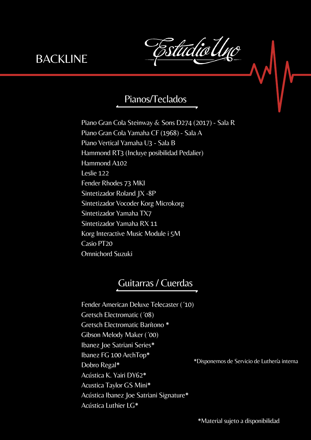studiol

# Pianos/Teclados

Piano Gran Cola Steinway & Sons D274 (2017) - Sala R Piano Gran Cola Yamaha CF (1968) - Sala A Piano Vertical Yamaha U3 - Sala B Hammond RT3 (Incluye posibilidad Pedalier) Hammond A102 Leslie 122 Fender Rhodes 73 MKI Sintetizador Roland JX -8P Sintetizador Vocoder Korg Microkorg Sintetizador Yamaha TX7 Sintetizador Yamaha RX 11 Korg Interactive Music Module i 5M Casio PT20 Omnichord Suzuki

# Guitarras / Cuerdas

Fender American Deluxe Telecaster (´10) Gretsch Electromatic (´08) Gretsch Electromatic Barítono \* Gibson Melody Maker (´00) Ibanez Joe Satriani Series\* Ibanez FG 100 ArchTop\* Dobro Regal\* Acústica K. Yairi DY62\* Acustica Taylor GS Mini\* Acústica Ibanez Joe Satriani Signature\* Acústica Luthier LG\* \*Disponemos de Servicio de Luthería interna

\*Material sujeto a disponibilidad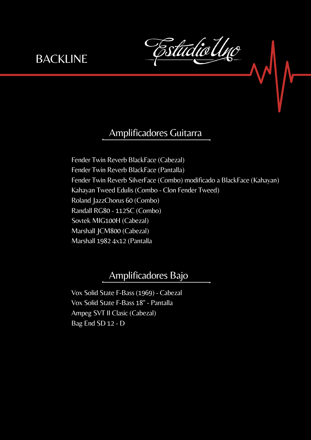studio U

## Amplificadores Guitarra

Fender Twin Reverb BlackFace (Cabezal) Fender Twin Reverb BlackFace (Pantalla) Fender Twin Reverb SilverFace (Combo) modificado a BlackFace (Kahayan) Kahayan Tweed Edulis (Combo - Clon Fender Tweed) Roland JazzChorus 60 (Combo) Randall RG80 - 112SC (Combo) Sovtek MIG100H (Cabezal) Marshall JCM800 (Cabezal) Marshall 1982 4x12 (Pantalla

### Amplificadores Bajo

Vox Solid State F-Bass (1969) - Cabezal Vox Solid State F-Bass 18" - Pantalla Ampeg SVT II Clasic (Cabezal) Bag End SD 12 - D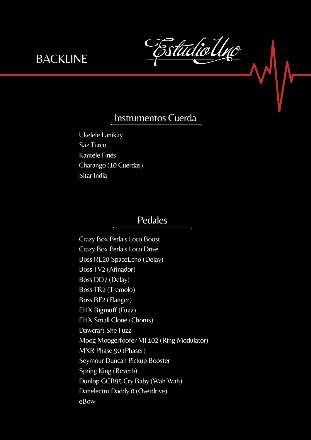tudio

### Instrumentos Cuerda

Ukelele Lanikay Saz Turco Kantele Finés Charango (10 Cuerdas) Sitar India

#### Pedales

Crazy Box Pedals Loco Boost Crazy Box Pedals Loco Drive Boss RE20 SpaceEcho (Delay) Boss TV2 (Afinador) Boss DD7 (Delay) Boss TR2 (Tremolo) Boss BF2 (Flanger) EHX Bigmuff (Fuzz) EHX Small Clone (Chorus) Dawcraft She Fuzz Moog Moogerfoofer MF102 (Ring Modulator) MXR Phase 90 (Phaser) Seymour Duncan Pickup Booster Spring King (Reverb) Dunlop GCB95 Cry Baby (Wah Wah) Danelectro Daddy 0 (Overdrive) eBow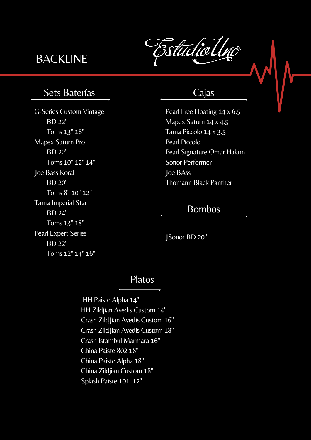# **BACKLINE**

tidio

# Sets Baterías

G-Series Custom Vintage BD 22" Toms 13" 16" Mapex Saturn Pro BD 22" Toms 10" 12" 14" Joe Bass Koral BD 20" Toms 8" 10" 12" Tama Imperial Star BD 24" Toms 13" 18" Pearl Expert Series BD 22" Toms 12" 14" 16"

#### Cajas

Pearl Free Floating 14 x 6.5 Mapex Saturn 14 x 4.5 Tama Piccolo 14 x 3.5 Pearl Piccolo Pearl Signature Omar Hakim Sonor Performer Joe BAss Thomann Black Panther

#### Bombos

JSonor BD 20"

#### Platos

HH Paiste Alpha 14" HH Zildjian Avedis Custom 14" Crash ZildJian Avedis Custom 16" Crash ZildJian Avedis Custom 18" Crash Istambul Marmara 16" China Paiste 802 18" China Paiste Alpha 18" China Zildjian Custom 18" Splash Paiste 101 12"